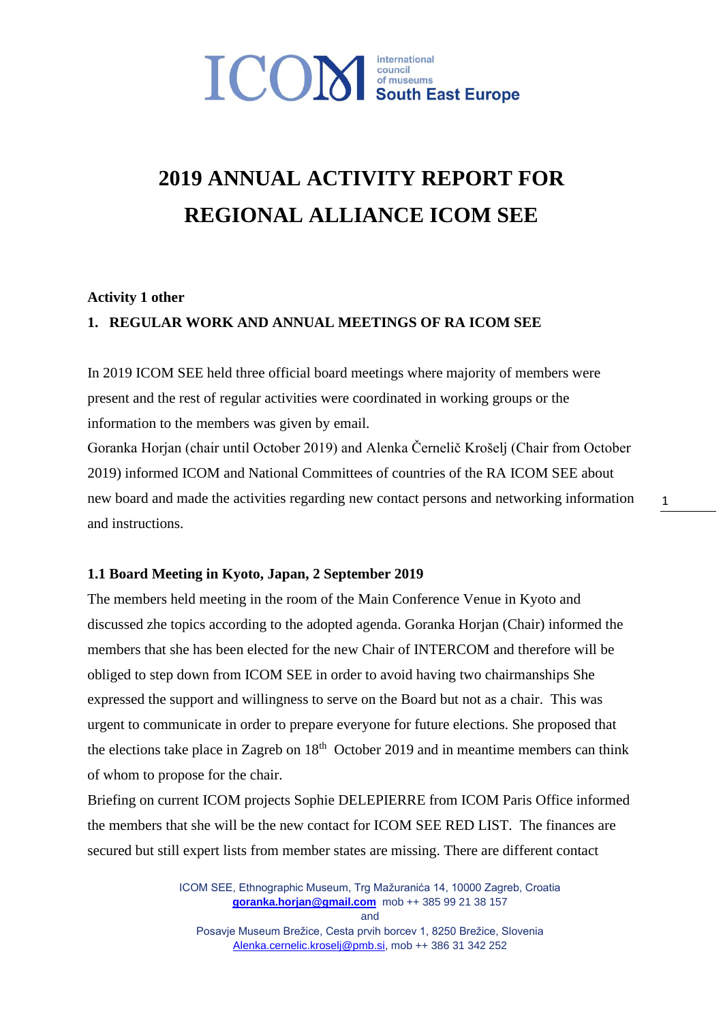# **ICON** South East Europe

# **2019 ANNUAL ACTIVITY REPORT FOR REGIONAL ALLIANCE ICOM SEE**

#### **Activity 1 other**

#### **1. REGULAR WORK AND ANNUAL MEETINGS OF RA ICOM SEE**

In 2019 ICOM SEE held three official board meetings where majority of members were present and the rest of regular activities were coordinated in working groups or the information to the members was given by email.

Goranka Horjan (chair until October 2019) and Alenka Černelič Krošelj (Chair from October 2019) informed ICOM and National Committees of countries of the RA ICOM SEE about new board and made the activities regarding new contact persons and networking information and instructions.

1

#### **1.1 Board Meeting in Kyoto, Japan, 2 September 2019**

The members held meeting in the room of the Main Conference Venue in Kyoto and discussed zhe topics according to the adopted agenda. Goranka Horjan (Chair) informed the members that she has been elected for the new Chair of INTERCOM and therefore will be obliged to step down from ICOM SEE in order to avoid having two chairmanships She expressed the support and willingness to serve on the Board but not as a chair. This was urgent to communicate in order to prepare everyone for future elections. She proposed that the elections take place in Zagreb on  $18<sup>th</sup>$  October 2019 and in meantime members can think of whom to propose for the chair.

Briefing on current ICOM projects Sophie DELEPIERRE from ICOM Paris Office informed the members that she will be the new contact for ICOM SEE RED LIST. The finances are secured but still expert lists from member states are missing. There are different contact

> ICOM SEE, Ethnographic Museum, Trg Mažuranića 14, 10000 Zagreb, Croatia **[goranka.horjan@gmail.com](mailto:goranka.horjan@gmail.com)** mob ++ 385 99 21 38 157 and Posavje Museum Brežice, Cesta prvih borcev 1, 8250 Brežice, Slovenia

> > [Alenka.cernelic.kroselj@pmb.si,](mailto:Alenka.cernelic.kroselj@pmb.si) mob ++ 386 31 342 252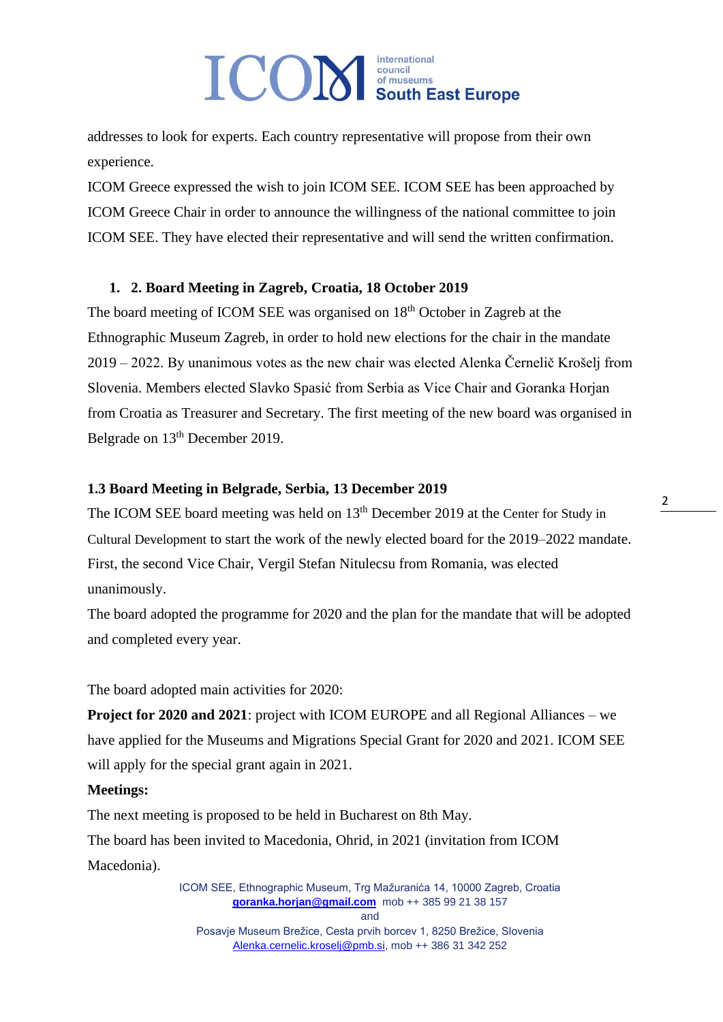addresses to look for experts. Each country representative will propose from their own experience.

ICOM Greece expressed the wish to join ICOM SEE. ICOM SEE has been approached by ICOM Greece Chair in order to announce the willingness of the national committee to join ICOM SEE. They have elected their representative and will send the written confirmation.

#### **1. 2. Board Meeting in Zagreb, Croatia, 18 October 2019**

The board meeting of ICOM SEE was organised on 18<sup>th</sup> October in Zagreb at the Ethnographic Museum Zagreb, in order to hold new elections for the chair in the mandate 2019 – 2022. By unanimous votes as the new chair was elected Alenka Černelič Krošelj from Slovenia. Members elected Slavko Spasić from Serbia as Vice Chair and Goranka Horjan from Croatia as Treasurer and Secretary. The first meeting of the new board was organised in Belgrade on 13<sup>th</sup> December 2019.

#### **1.3 Board Meeting in Belgrade, Serbia, 13 December 2019**

The ICOM SEE board meeting was held on 13<sup>th</sup> December 2019 at the Center for Study in Cultural Development to start the work of the newly elected board for the 2019–2022 mandate. First, the second Vice Chair, Vergil Stefan Nitulecsu from Romania, was elected unanimously.

The board adopted the programme for 2020 and the plan for the mandate that will be adopted and completed every year.

The board adopted main activities for 2020:

**Project for 2020 and 2021**: project with ICOM EUROPE and all Regional Alliances – we have applied for the Museums and Migrations Special Grant for 2020 and 2021. ICOM SEE will apply for the special grant again in 2021.

#### **Meetings:**

The next meeting is proposed to be held in Bucharest on 8th May.

The board has been invited to Macedonia, Ohrid, in 2021 (invitation from ICOM Macedonia).

> ICOM SEE, Ethnographic Museum, Trg Mažuranića 14, 10000 Zagreb, Croatia **[goranka.horjan@gmail.com](mailto:goranka.horjan@gmail.com)** mob ++ 385 99 21 38 157 and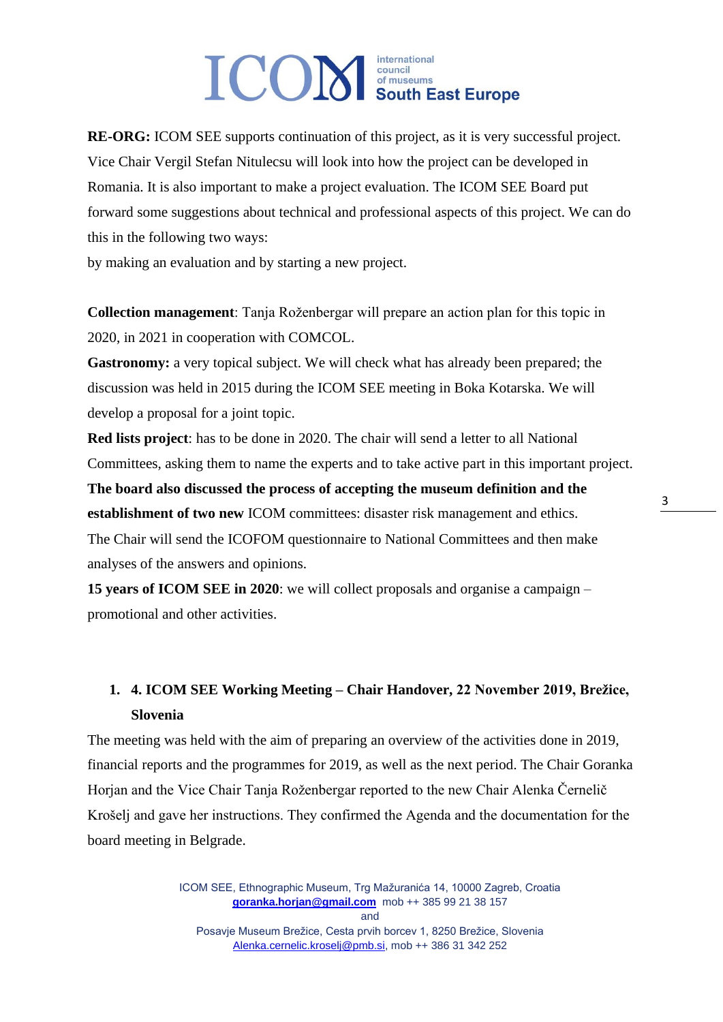**RE-ORG:** ICOM SEE supports continuation of this project, as it is very successful project. Vice Chair Vergil Stefan Nitulecsu will look into how the project can be developed in Romania. It is also important to make a project evaluation. The ICOM SEE Board put forward some suggestions about technical and professional aspects of this project. We can do this in the following two ways:

by making an evaluation and by starting a new project.

**Collection management**: Tanja Roženbergar will prepare an action plan for this topic in 2020, in 2021 in cooperation with COMCOL.

**Gastronomy:** a very topical subject. We will check what has already been prepared; the discussion was held in 2015 during the ICOM SEE meeting in Boka Kotarska. We will develop a proposal for a joint topic.

**Red lists project**: has to be done in 2020. The chair will send a letter to all National Committees, asking them to name the experts and to take active part in this important project. **The board also discussed the process of accepting the museum definition and the establishment of two new** ICOM committees: disaster risk management and ethics. The Chair will send the ICOFOM questionnaire to National Committees and then make analyses of the answers and opinions.

**15 years of ICOM SEE in 2020**: we will collect proposals and organise a campaign – promotional and other activities.

### **1. 4. ICOM SEE Working Meeting – Chair Handover, 22 November 2019, Brežice, Slovenia**

The meeting was held with the aim of preparing an overview of the activities done in 2019, financial reports and the programmes for 2019, as well as the next period. The Chair Goranka Horjan and the Vice Chair Tanja Roženbergar reported to the new Chair Alenka Černelič Krošelj and gave her instructions. They confirmed the Agenda and the documentation for the board meeting in Belgrade.

> ICOM SEE, Ethnographic Museum, Trg Mažuranića 14, 10000 Zagreb, Croatia **[goranka.horjan@gmail.com](mailto:goranka.horjan@gmail.com)** mob ++ 385 99 21 38 157 and Posavje Museum Brežice, Cesta prvih borcev 1, 8250 Brežice, Slovenia

[Alenka.cernelic.kroselj@pmb.si,](mailto:Alenka.cernelic.kroselj@pmb.si) mob ++ 386 31 342 252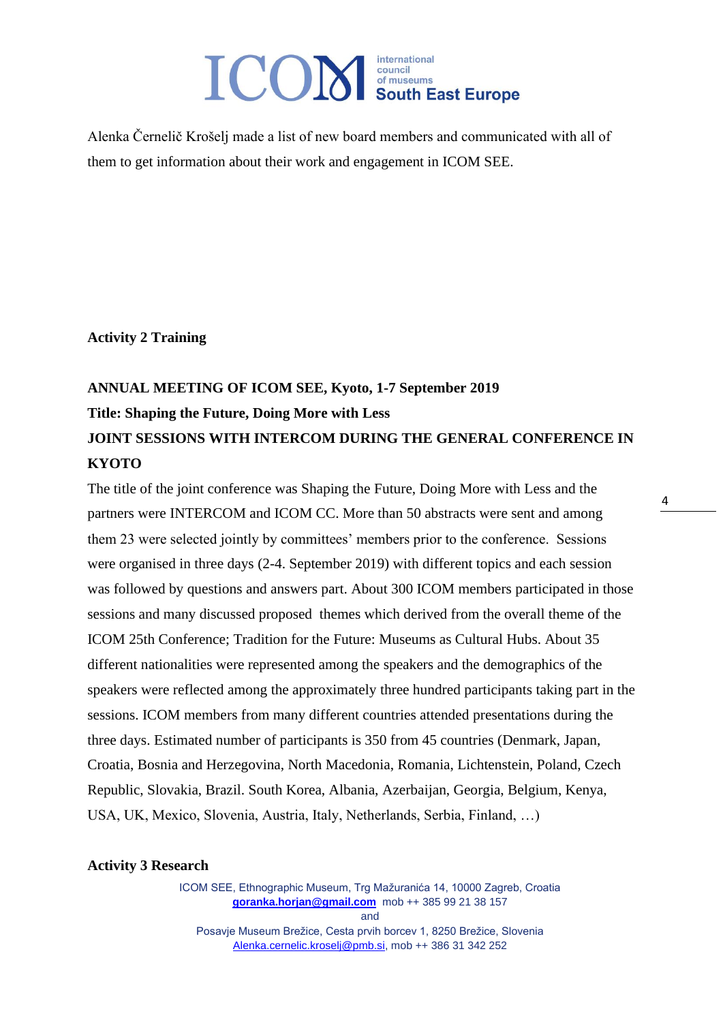Alenka Černelič Krošelj made a list of new board members and communicated with all of them to get information about their work and engagement in ICOM SEE.

**Activity 2 Training** 

### **ANNUAL MEETING OF ICOM SEE, Kyoto, 1-7 September 2019 Title: Shaping the Future, Doing More with Less JOINT SESSIONS WITH INTERCOM DURING THE GENERAL CONFERENCE IN KYOTO**

The title of the joint conference was Shaping the Future, Doing More with Less and the partners were INTERCOM and ICOM CC. More than 50 abstracts were sent and among them 23 were selected jointly by committees' members prior to the conference. Sessions were organised in three days (2-4. September 2019) with different topics and each session was followed by questions and answers part. About 300 ICOM members participated in those sessions and many discussed proposed themes which derived from the overall theme of the ICOM 25th Conference; Tradition for the Future: Museums as Cultural Hubs. About 35 different nationalities were represented among the speakers and the demographics of the speakers were reflected among the approximately three hundred participants taking part in the sessions. ICOM members from many different countries attended presentations during the three days. Estimated number of participants is 350 from 45 countries (Denmark, Japan, Croatia, Bosnia and Herzegovina, North Macedonia, Romania, Lichtenstein, Poland, Czech Republic, Slovakia, Brazil. South Korea, Albania, Azerbaijan, Georgia, Belgium, Kenya, USA, UK, Mexico, Slovenia, Austria, Italy, Netherlands, Serbia, Finland, …)

**Activity 3 Research**

ICOM SEE, Ethnographic Museum, Trg Mažuranića 14, 10000 Zagreb, Croatia **[goranka.horjan@gmail.com](mailto:goranka.horjan@gmail.com)** mob ++ 385 99 21 38 157 and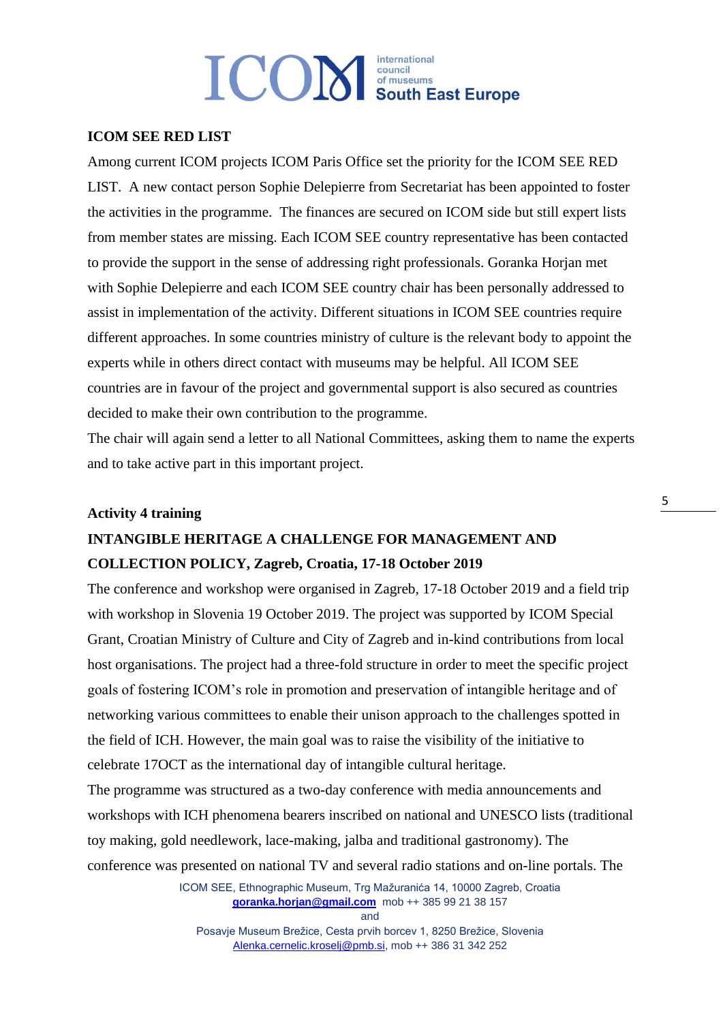#### **ICOM SEE RED LIST**

Among current ICOM projects ICOM Paris Office set the priority for the ICOM SEE RED LIST. A new contact person Sophie Delepierre from Secretariat has been appointed to foster the activities in the programme. The finances are secured on ICOM side but still expert lists from member states are missing. Each ICOM SEE country representative has been contacted to provide the support in the sense of addressing right professionals. Goranka Horjan met with Sophie Delepierre and each ICOM SEE country chair has been personally addressed to assist in implementation of the activity. Different situations in ICOM SEE countries require different approaches. In some countries ministry of culture is the relevant body to appoint the experts while in others direct contact with museums may be helpful. All ICOM SEE countries are in favour of the project and governmental support is also secured as countries decided to make their own contribution to the programme.

The chair will again send a letter to all National Committees, asking them to name the experts and to take active part in this important project.

### **Activity 4 training**

### **INTANGIBLE HERITAGE A CHALLENGE FOR MANAGEMENT AND COLLECTION POLICY, Zagreb, Croatia, 17-18 October 2019**

The conference and workshop were organised in Zagreb, 17-18 October 2019 and a field trip with workshop in Slovenia 19 October 2019. The project was supported by ICOM Special Grant, Croatian Ministry of Culture and City of Zagreb and in-kind contributions from local host organisations. The project had a three-fold structure in order to meet the specific project goals of fostering ICOM's role in promotion and preservation of intangible heritage and of networking various committees to enable their unison approach to the challenges spotted in the field of ICH. However, the main goal was to raise the visibility of the initiative to celebrate 17OCT as the international day of intangible cultural heritage.

The programme was structured as a two-day conference with media announcements and workshops with ICH phenomena bearers inscribed on national and UNESCO lists (traditional toy making, gold needlework, lace-making, jalba and traditional gastronomy). The conference was presented on national TV and several radio stations and on-line portals. The

> ICOM SEE, Ethnographic Museum, Trg Mažuranića 14, 10000 Zagreb, Croatia **[goranka.horjan@gmail.com](mailto:goranka.horjan@gmail.com)** mob ++ 385 99 21 38 157

and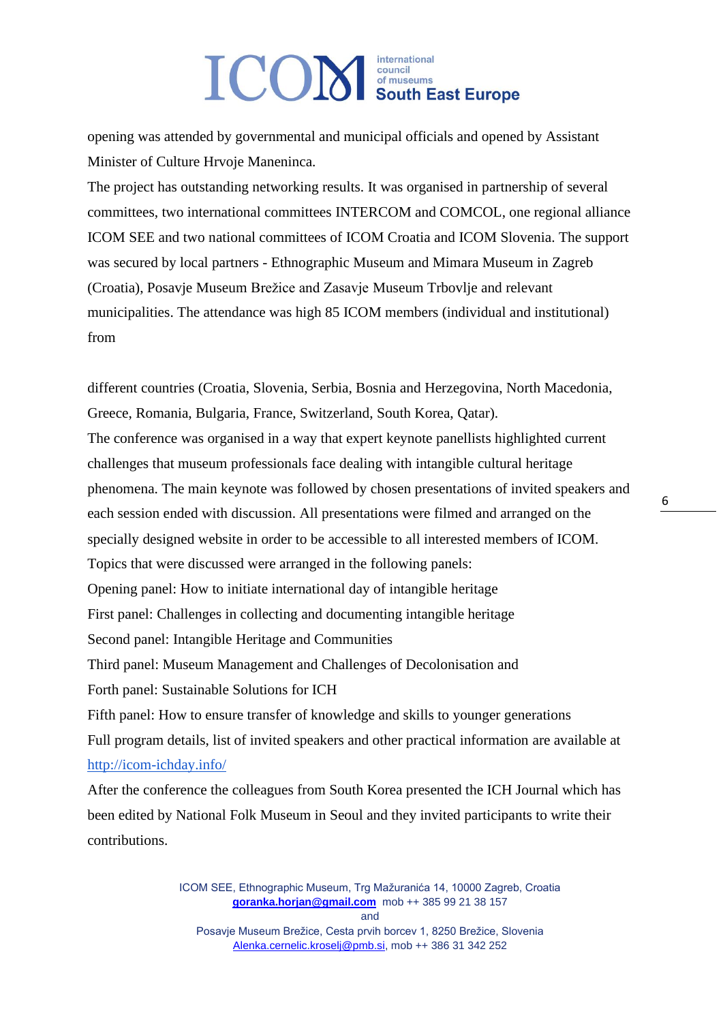opening was attended by governmental and municipal officials and opened by Assistant Minister of Culture Hrvoje Maneninca.

The project has outstanding networking results. It was organised in partnership of several committees, two international committees INTERCOM and COMCOL, one regional alliance ICOM SEE and two national committees of ICOM Croatia and ICOM Slovenia. The support was secured by local partners - Ethnographic Museum and Mimara Museum in Zagreb (Croatia), Posavje Museum Brežice and Zasavje Museum Trbovlje and relevant municipalities. The attendance was high 85 ICOM members (individual and institutional) from

different countries (Croatia, Slovenia, Serbia, Bosnia and Herzegovina, North Macedonia, Greece, Romania, Bulgaria, France, Switzerland, South Korea, Qatar). The conference was organised in a way that expert keynote panellists highlighted current challenges that museum professionals face dealing with intangible cultural heritage phenomena. The main keynote was followed by chosen presentations of invited speakers and each session ended with discussion. All presentations were filmed and arranged on the specially designed website in order to be accessible to all interested members of ICOM. Topics that were discussed were arranged in the following panels: Opening panel: How to initiate international day of intangible heritage First panel: Challenges in collecting and documenting intangible heritage Second panel: Intangible Heritage and Communities Third panel: Museum Management and Challenges of Decolonisation and Forth panel: Sustainable Solutions for ICH Fifth panel: How to ensure transfer of knowledge and skills to younger generations Full program details, list of invited speakers and other practical information are available at <http://icom-ichday.info/> After the conference the colleagues from South Korea presented the ICH Journal which has

been edited by National Folk Museum in Seoul and they invited participants to write their contributions.

> ICOM SEE, Ethnographic Museum, Trg Mažuranića 14, 10000 Zagreb, Croatia **[goranka.horjan@gmail.com](mailto:goranka.horjan@gmail.com)** mob ++ 385 99 21 38 157 and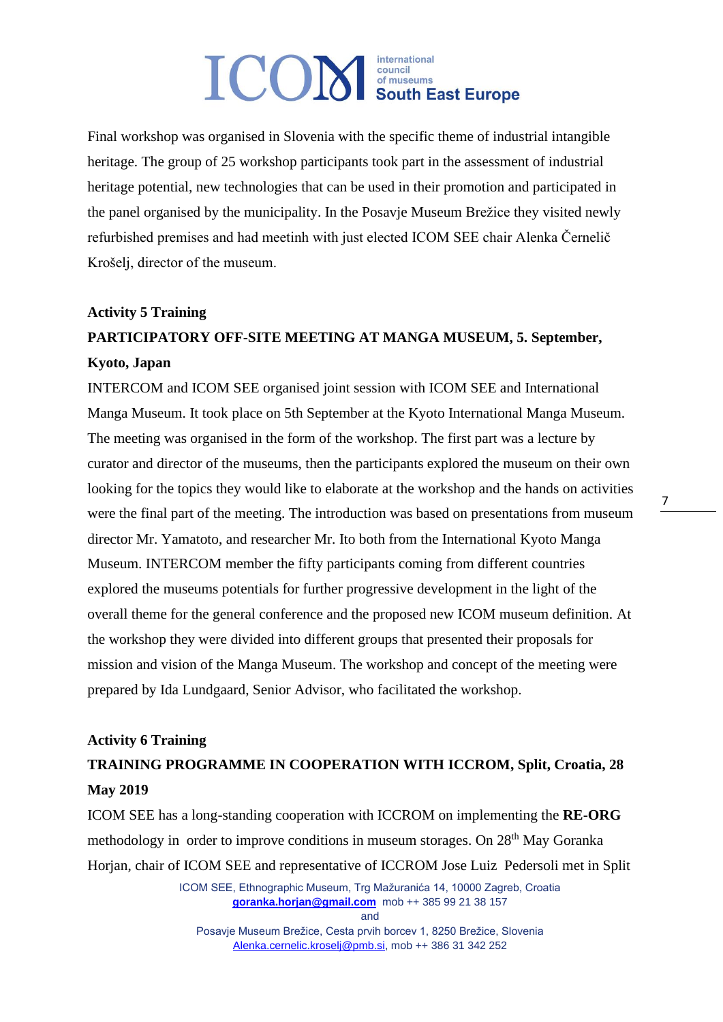Final workshop was organised in Slovenia with the specific theme of industrial intangible heritage. The group of 25 workshop participants took part in the assessment of industrial heritage potential, new technologies that can be used in their promotion and participated in the panel organised by the municipality. In the Posavje Museum Brežice they visited newly refurbished premises and had meetinh with just elected ICOM SEE chair Alenka Černelič Krošelj, director of the museum.

#### **Activity 5 Training**

### **PARTICIPATORY OFF-SITE MEETING AT MANGA MUSEUM, 5. September, Kyoto, Japan**

INTERCOM and ICOM SEE organised joint session with ICOM SEE and International Manga Museum. It took place on 5th September at the Kyoto International Manga Museum. The meeting was organised in the form of the workshop. The first part was a lecture by curator and director of the museums, then the participants explored the museum on their own looking for the topics they would like to elaborate at the workshop and the hands on activities were the final part of the meeting. The introduction was based on presentations from museum director Mr. Yamatoto, and researcher Mr. Ito both from the International Kyoto Manga Museum. INTERCOM member the fifty participants coming from different countries explored the museums potentials for further progressive development in the light of the overall theme for the general conference and the proposed new ICOM museum definition. At the workshop they were divided into different groups that presented their proposals for mission and vision of the Manga Museum. The workshop and concept of the meeting were prepared by Ida Lundgaard, Senior Advisor, who facilitated the workshop.

#### **Activity 6 Training**

### **TRAINING PROGRAMME IN COOPERATION WITH ICCROM, Split, Croatia, 28 May 2019**

ICOM SEE has a long-standing cooperation with ICCROM on implementing the **RE-ORG**  methodology in order to improve conditions in museum storages. On 28<sup>th</sup> May Goranka Horjan, chair of ICOM SEE and representative of ICCROM Jose Luiz Pedersoli met in Split

> ICOM SEE, Ethnographic Museum, Trg Mažuranića 14, 10000 Zagreb, Croatia **[goranka.horjan@gmail.com](mailto:goranka.horjan@gmail.com)** mob ++ 385 99 21 38 157

> > and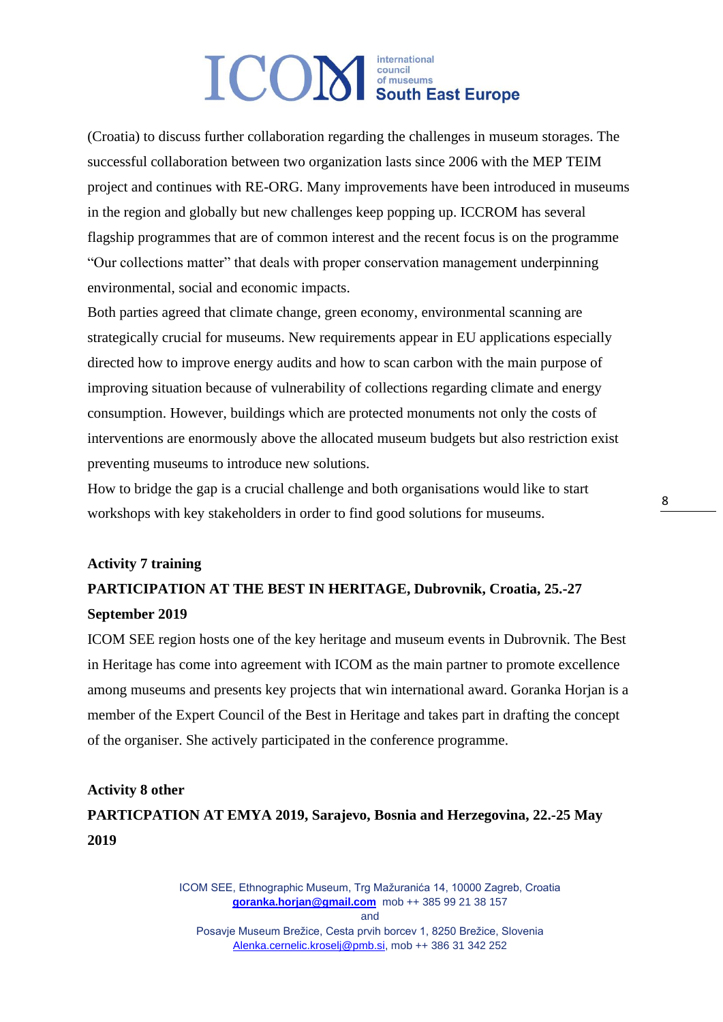(Croatia) to discuss further collaboration regarding the challenges in museum storages. The successful collaboration between two organization lasts since 2006 with the MEP TEIM project and continues with RE-ORG. Many improvements have been introduced in museums in the region and globally but new challenges keep popping up. ICCROM has several flagship programmes that are of common interest and the recent focus is on the programme "Our collections matter" that deals with proper conservation management underpinning environmental, social and economic impacts.

Both parties agreed that climate change, green economy, environmental scanning are strategically crucial for museums. New requirements appear in EU applications especially directed how to improve energy audits and how to scan carbon with the main purpose of improving situation because of vulnerability of collections regarding climate and energy consumption. However, buildings which are protected monuments not only the costs of interventions are enormously above the allocated museum budgets but also restriction exist preventing museums to introduce new solutions.

How to bridge the gap is a crucial challenge and both organisations would like to start workshops with key stakeholders in order to find good solutions for museums.

### **Activity 7 training PARTICIPATION AT THE BEST IN HERITAGE, Dubrovnik, Croatia, 25.-27 September 2019**

ICOM SEE region hosts one of the key heritage and museum events in Dubrovnik. The Best in Heritage has come into agreement with ICOM as the main partner to promote excellence among museums and presents key projects that win international award. Goranka Horjan is a member of the Expert Council of the Best in Heritage and takes part in drafting the concept of the organiser. She actively participated in the conference programme.

#### **Activity 8 other**

### **PARTICPATION AT EMYA 2019, Sarajevo, Bosnia and Herzegovina, 22.-25 May 2019**

ICOM SEE, Ethnographic Museum, Trg Mažuranića 14, 10000 Zagreb, Croatia **[goranka.horjan@gmail.com](mailto:goranka.horjan@gmail.com)** mob ++ 385 99 21 38 157 and Posavje Museum Brežice, Cesta prvih borcev 1, 8250 Brežice, Slovenia [Alenka.cernelic.kroselj@pmb.si,](mailto:Alenka.cernelic.kroselj@pmb.si) mob ++ 386 31 342 252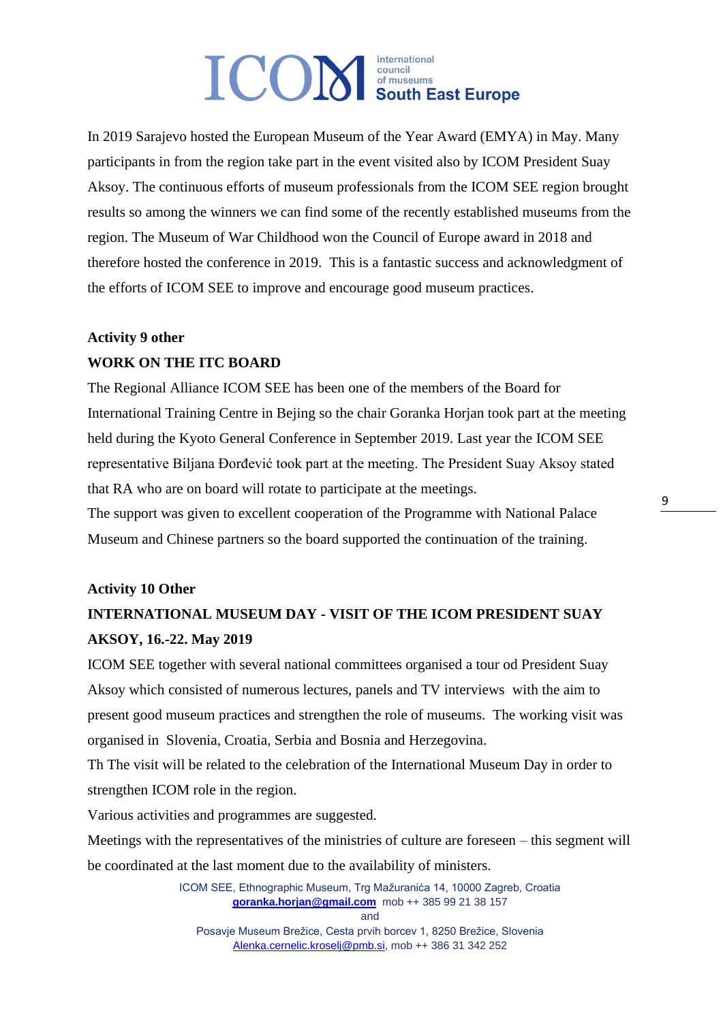In 2019 Sarajevo hosted the European Museum of the Year Award (EMYA) in May. Many participants in from the region take part in the event visited also by ICOM President Suay Aksoy. The continuous efforts of museum professionals from the ICOM SEE region brought results so among the winners we can find some of the recently established museums from the region. The Museum of War Childhood won the Council of Europe award in 2018 and therefore hosted the conference in 2019. This is a fantastic success and acknowledgment of the efforts of ICOM SEE to improve and encourage good museum practices.

### **Activity 9 other WORK ON THE ITC BOARD**

The Regional Alliance ICOM SEE has been one of the members of the Board for International Training Centre in Bejing so the chair Goranka Horjan took part at the meeting held during the Kyoto General Conference in September 2019. Last year the ICOM SEE representative Biljana Đorđević took part at the meeting. The President Suay Aksoy stated that RA who are on board will rotate to participate at the meetings.

The support was given to excellent cooperation of the Programme with National Palace Museum and Chinese partners so the board supported the continuation of the training.

#### **Activity 10 Other**

### **INTERNATIONAL MUSEUM DAY - VISIT OF THE ICOM PRESIDENT SUAY AKSOY, 16.-22. May 2019**

ICOM SEE together with several national committees organised a tour od President Suay Aksoy which consisted of numerous lectures, panels and TV interviews with the aim to present good museum practices and strengthen the role of museums. The working visit was organised in Slovenia, Croatia, Serbia and Bosnia and Herzegovina.

Th The visit will be related to the celebration of the International Museum Day in order to strengthen ICOM role in the region.

Various activities and programmes are suggested.

Meetings with the representatives of the ministries of culture are foreseen – this segment will be coordinated at the last moment due to the availability of ministers.

> ICOM SEE, Ethnographic Museum, Trg Mažuranića 14, 10000 Zagreb, Croatia **[goranka.horjan@gmail.com](mailto:goranka.horjan@gmail.com)** mob ++ 385 99 21 38 157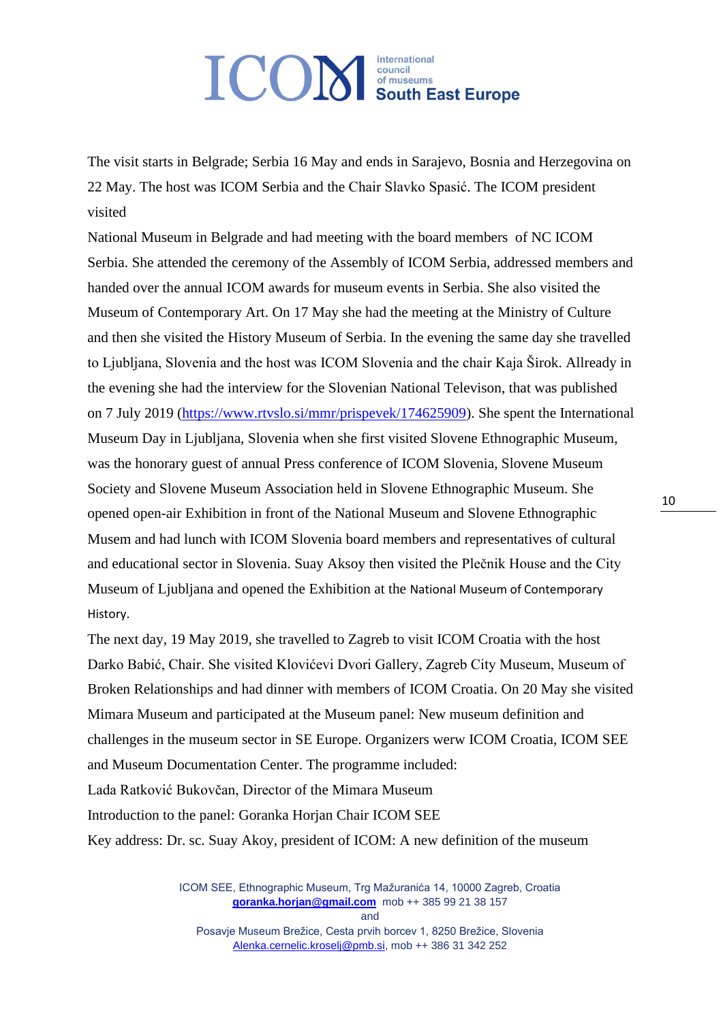# international **ICOM** South East Europe

The visit starts in Belgrade; Serbia 16 May and ends in Sarajevo, Bosnia and Herzegovina on 22 May. The host was ICOM Serbia and the Chair Slavko Spasić. The ICOM president visited

National Museum in Belgrade and had meeting with the board members of NC ICOM Serbia. She attended the ceremony of the Assembly of ICOM Serbia, addressed members and handed over the annual ICOM awards for museum events in Serbia. She also visited the Museum of Contemporary Art. On 17 May she had the meeting at the Ministry of Culture and then she visited the History Museum of Serbia. In the evening the same day she travelled to Ljubljana, Slovenia and the host was ICOM Slovenia and the chair Kaja Širok. Allready in the evening she had the interview for the Slovenian National Televison, that was published on 7 July 2019 [\(https://www.rtvslo.si/mmr/prispevek/174625909\)](https://www.rtvslo.si/mmr/prispevek/174625909). She spent the International Museum Day in Ljubljana, Slovenia when she first visited Slovene Ethnographic Museum, was the honorary guest of annual Press conference of ICOM Slovenia, Slovene Museum Society and Slovene Museum Association held in Slovene Ethnographic Museum. She opened open-air Exhibition in front of the National Museum and Slovene Ethnographic Musem and had lunch with ICOM Slovenia board members and representatives of cultural and educational sector in Slovenia. Suay Aksoy then visited the Plečnik House and the City Museum of Ljubljana and opened the Exhibition at the National Museum of Contemporary History.

The next day, 19 May 2019, she travelled to Zagreb to visit ICOM Croatia with the host Darko Babić, Chair. She visited Klovićevi Dvori Gallery, Zagreb City Museum, Museum of Broken Relationships and had dinner with members of ICOM Croatia. On 20 May she visited Mimara Museum and participated at the Museum panel: New museum definition and challenges in the museum sector in SE Europe. Organizers werw ICOM Croatia, ICOM SEE and Museum Documentation Center. The programme included: Lada Ratković Bukovčan, Director of the Mimara Museum Introduction to the panel: Goranka Horjan Chair ICOM SEE Key address: Dr. sc. Suay Akoy, president of ICOM: A new definition of the museum

> ICOM SEE, Ethnographic Museum, Trg Mažuranića 14, 10000 Zagreb, Croatia **[goranka.horjan@gmail.com](mailto:goranka.horjan@gmail.com)** mob ++ 385 99 21 38 157 and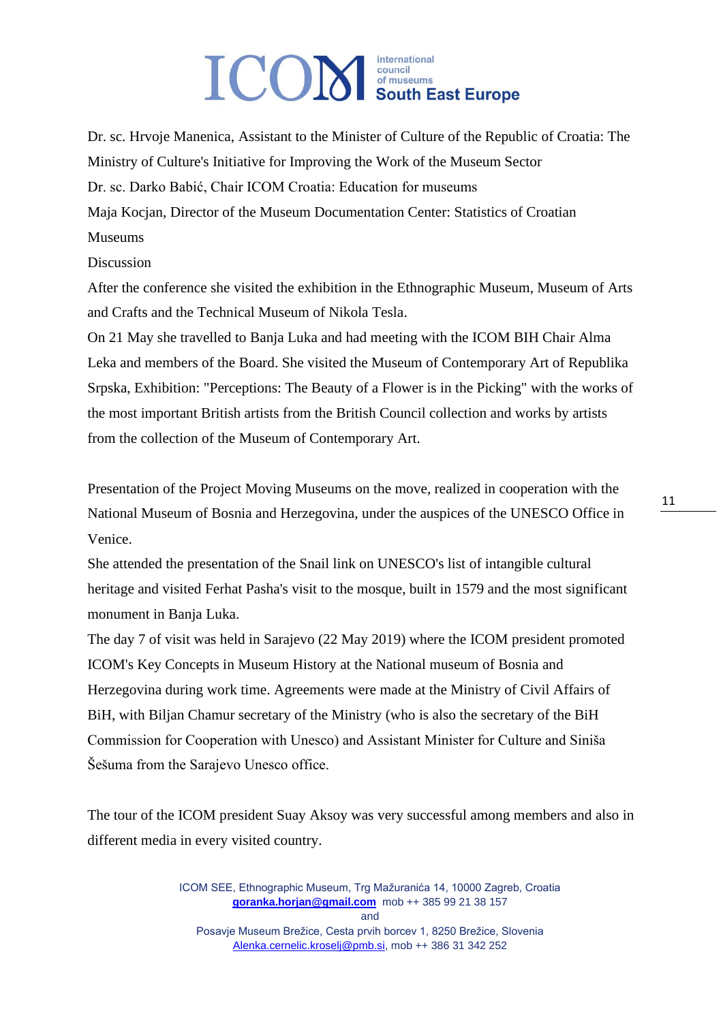Dr. sc. Hrvoje Manenica, Assistant to the Minister of Culture of the Republic of Croatia: The Ministry of Culture's Initiative for Improving the Work of the Museum Sector Dr. sc. Darko Babić, Chair ICOM Croatia: Education for museums Maja Kocjan, Director of the Museum Documentation Center: Statistics of Croatian Museums

**Discussion** 

After the conference she visited the exhibition in the Ethnographic Museum, Museum of Arts and Crafts and the Technical Museum of Nikola Tesla.

On 21 May she travelled to Banja Luka and had meeting with the ICOM BIH Chair Alma Leka and members of the Board. She visited the Museum of Contemporary Art of Republika Srpska, Exhibition: "Perceptions: The Beauty of a Flower is in the Picking" with the works of the most important British artists from the British Council collection and works by artists from the collection of the Museum of Contemporary Art.

Presentation of the Project Moving Museums on the move, realized in cooperation with the National Museum of Bosnia and Herzegovina, under the auspices of the UNESCO Office in Venice.

She attended the presentation of the Snail link on UNESCO's list of intangible cultural heritage and visited Ferhat Pasha's visit to the mosque, built in 1579 and the most significant monument in Banja Luka.

The day 7 of visit was held in Sarajevo (22 May 2019) where the ICOM president promoted ICOM's Key Concepts in Museum History at the National museum of Bosnia and Herzegovina during work time. Agreements were made at the Ministry of Civil Affairs of BiH, with Biljan Chamur secretary of the Ministry (who is also the secretary of the BiH Commission for Cooperation with Unesco) and Assistant Minister for Culture and Siniša Šešuma from the Sarajevo Unesco office.

The tour of the ICOM president Suay Aksoy was very successful among members and also in different media in every visited country.

> ICOM SEE, Ethnographic Museum, Trg Mažuranića 14, 10000 Zagreb, Croatia **[goranka.horjan@gmail.com](mailto:goranka.horjan@gmail.com)** mob ++ 385 99 21 38 157 and Posavje Museum Brežice, Cesta prvih borcev 1, 8250 Brežice, Slovenia [Alenka.cernelic.kroselj@pmb.si,](mailto:Alenka.cernelic.kroselj@pmb.si) mob ++ 386 31 342 252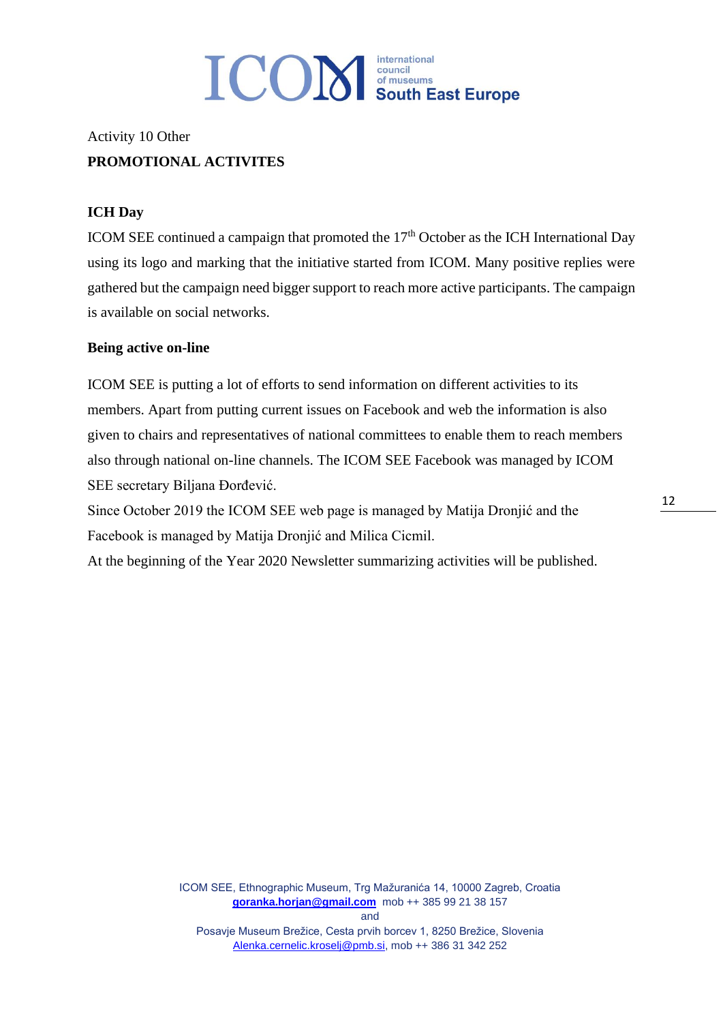

### Activity 10 Other **PROMOTIONAL ACTIVITES**

#### **ICH Day**

ICOM SEE continued a campaign that promoted the  $17<sup>th</sup>$  October as the ICH International Day using its logo and marking that the initiative started from ICOM. Many positive replies were gathered but the campaign need bigger support to reach more active participants. The campaign is available on social networks.

#### **Being active on-line**

ICOM SEE is putting a lot of efforts to send information on different activities to its members. Apart from putting current issues on Facebook and web the information is also given to chairs and representatives of national committees to enable them to reach members also through national on-line channels. The ICOM SEE Facebook was managed by ICOM SEE secretary Biljana Đorđević.

Since October 2019 the ICOM SEE web page is managed by Matija Dronjić and the Facebook is managed by Matija Dronjić and Milica Cicmil.

At the beginning of the Year 2020 Newsletter summarizing activities will be published.

ICOM SEE, Ethnographic Museum, Trg Mažuranića 14, 10000 Zagreb, Croatia **[goranka.horjan@gmail.com](mailto:goranka.horjan@gmail.com)** mob ++ 385 99 21 38 157 and Posavje Museum Brežice, Cesta prvih borcev 1, 8250 Brežice, Slovenia [Alenka.cernelic.kroselj@pmb.si,](mailto:Alenka.cernelic.kroselj@pmb.si) mob ++ 386 31 342 252

12